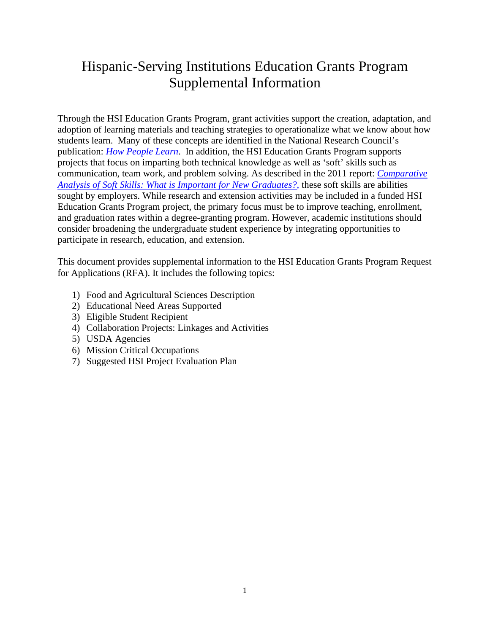# Hispanic-Serving Institutions Education Grants Program Supplemental Information

Through the HSI Education Grants Program, grant activities support the creation, adaptation, and adoption of learning materials and teaching strategies to operationalize what we know about how students learn. Many of these concepts are identified in the National Research Council's publication: *[How People Learn](http://www.nap.edu/read/9853/chapter/1f)*. In addition, the HSI Education Grants Program supports projects that focus on imparting both technical knowledge as well as 'soft' skills such as communication, team work, and problem solving. As described in the 2011 report: *[Comparative](http://www.aplu.org/members/commissions/food-environment-and-renewable-resources/CFERR_Library/comparative-analysis-of-soft-skills-what-is-important-for-new-graduates/file)  [Analysis of Soft Skills: What is Important for New Graduates?,](http://www.aplu.org/members/commissions/food-environment-and-renewable-resources/CFERR_Library/comparative-analysis-of-soft-skills-what-is-important-for-new-graduates/file)* these soft skills are abilities sought by employers. While research and extension activities may be included in a funded HSI Education Grants Program project, the primary focus must be to improve teaching, enrollment, and graduation rates within a degree-granting program. However, academic institutions should consider broadening the undergraduate student experience by integrating opportunities to participate in research, education, and extension.

This document provides supplemental information to the HSI Education Grants Program Request for Applications (RFA). It includes the following topics:

- 1) Food and Agricultural Sciences Description
- 2) Educational Need Areas Supported
- 3) Eligible Student Recipient
- 4) Collaboration Projects: Linkages and Activities
- 5) USDA Agencies
- 6) Mission Critical Occupations
- 7) Suggested HSI Project Evaluation Plan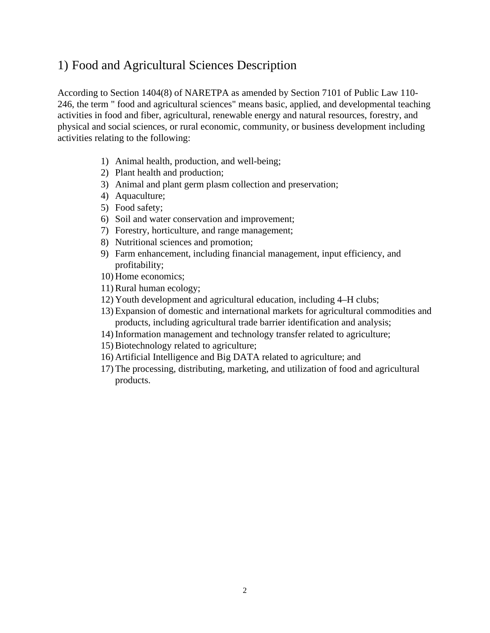## 1) Food and Agricultural Sciences Description

According to Section 1404(8) of NARETPA as amended by Section 7101 of Public Law 110- 246, the term " food and agricultural sciences" means basic, applied, and developmental teaching activities in food and fiber, agricultural, renewable energy and natural resources, forestry, and physical and social sciences, or rural economic, community, or business development including activities relating to the following:

- 1) Animal health, production, and well-being;
- 2) Plant health and production;
- 3) Animal and plant germ plasm collection and preservation;
- 4) Aquaculture;
- 5) Food safety;
- 6) Soil and water conservation and improvement;
- 7) Forestry, horticulture, and range management;
- 8) Nutritional sciences and promotion;
- 9) Farm enhancement, including financial management, input efficiency, and profitability;
- 10) Home economics;
- 11) Rural human ecology;
- 12) Youth development and agricultural education, including 4–H clubs;
- 13) Expansion of domestic and international markets for agricultural commodities and products, including agricultural trade barrier identification and analysis;
- 14) Information management and technology transfer related to agriculture;
- 15) Biotechnology related to agriculture;
- 16) Artificial Intelligence and Big DATA related to agriculture; and
- 17) The processing, distributing, marketing, and utilization of food and agricultural products.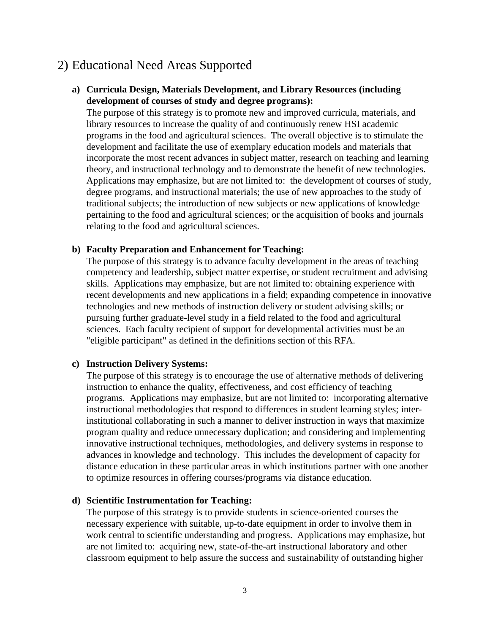## 2) Educational Need Areas Supported

## **a) Curricula Design, Materials Development, and Library Resources (including development of courses of study and degree programs):**

The purpose of this strategy is to promote new and improved curricula, materials, and library resources to increase the quality of and continuously renew HSI academic programs in the food and agricultural sciences. The overall objective is to stimulate the development and facilitate the use of exemplary education models and materials that incorporate the most recent advances in subject matter, research on teaching and learning theory, and instructional technology and to demonstrate the benefit of new technologies. Applications may emphasize, but are not limited to: the development of courses of study, degree programs, and instructional materials; the use of new approaches to the study of traditional subjects; the introduction of new subjects or new applications of knowledge pertaining to the food and agricultural sciences; or the acquisition of books and journals relating to the food and agricultural sciences.

#### **b) Faculty Preparation and Enhancement for Teaching:**

The purpose of this strategy is to advance faculty development in the areas of teaching competency and leadership, subject matter expertise, or student recruitment and advising skills. Applications may emphasize, but are not limited to: obtaining experience with recent developments and new applications in a field; expanding competence in innovative technologies and new methods of instruction delivery or student advising skills; or pursuing further graduate-level study in a field related to the food and agricultural sciences. Each faculty recipient of support for developmental activities must be an "eligible participant" as defined in the definitions section of this RFA.

#### **c) Instruction Delivery Systems:**

The purpose of this strategy is to encourage the use of alternative methods of delivering instruction to enhance the quality, effectiveness, and cost efficiency of teaching programs. Applications may emphasize, but are not limited to: incorporating alternative instructional methodologies that respond to differences in student learning styles; interinstitutional collaborating in such a manner to deliver instruction in ways that maximize program quality and reduce unnecessary duplication; and considering and implementing innovative instructional techniques, methodologies, and delivery systems in response to advances in knowledge and technology. This includes the development of capacity for distance education in these particular areas in which institutions partner with one another to optimize resources in offering courses/programs via distance education.

#### **d) Scientific Instrumentation for Teaching:**

The purpose of this strategy is to provide students in science-oriented courses the necessary experience with suitable, up-to-date equipment in order to involve them in work central to scientific understanding and progress. Applications may emphasize, but are not limited to: acquiring new, state-of-the-art instructional laboratory and other classroom equipment to help assure the success and sustainability of outstanding higher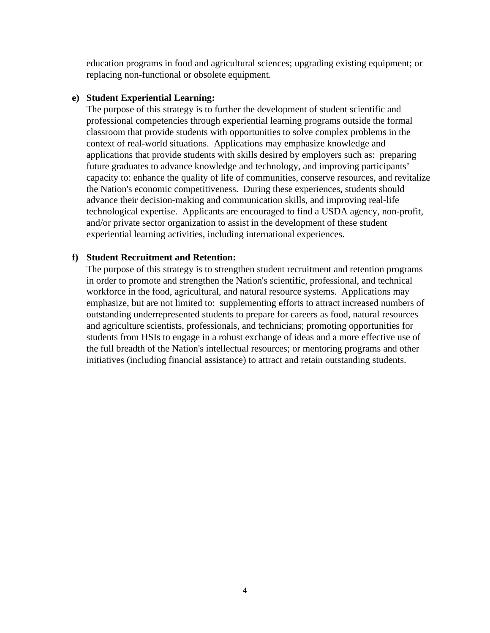education programs in food and agricultural sciences; upgrading existing equipment; or replacing non-functional or obsolete equipment.

#### **e) Student Experiential Learning:**

The purpose of this strategy is to further the development of student scientific and professional competencies through experiential learning programs outside the formal classroom that provide students with opportunities to solve complex problems in the context of real-world situations. Applications may emphasize knowledge and applications that provide students with skills desired by employers such as: preparing future graduates to advance knowledge and technology, and improving participants' capacity to: enhance the quality of life of communities, conserve resources, and revitalize the Nation's economic competitiveness. During these experiences, students should advance their decision-making and communication skills, and improving real-life technological expertise. Applicants are encouraged to find a USDA agency, non-profit, and/or private sector organization to assist in the development of these student experiential learning activities, including international experiences.

#### **f) Student Recruitment and Retention:**

The purpose of this strategy is to strengthen student recruitment and retention programs in order to promote and strengthen the Nation's scientific, professional, and technical workforce in the food, agricultural, and natural resource systems. Applications may emphasize, but are not limited to: supplementing efforts to attract increased numbers of outstanding underrepresented students to prepare for careers as food, natural resources and agriculture scientists, professionals, and technicians; promoting opportunities for students from HSIs to engage in a robust exchange of ideas and a more effective use of the full breadth of the Nation's intellectual resources; or mentoring programs and other initiatives (including financial assistance) to attract and retain outstanding students.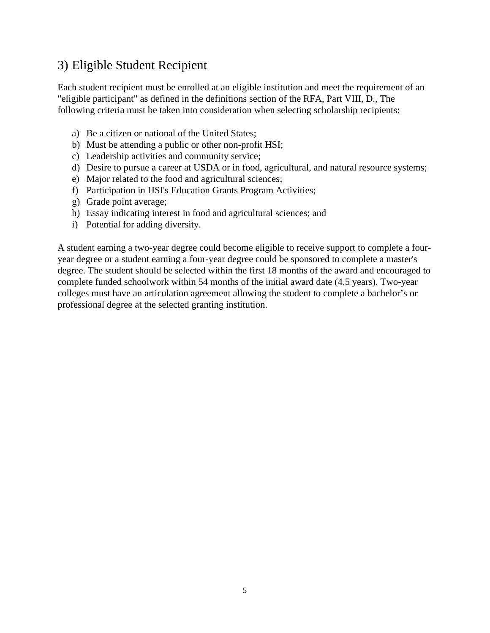## 3) Eligible Student Recipient

Each student recipient must be enrolled at an eligible institution and meet the requirement of an "eligible participant" as defined in the definitions section of the RFA, Part VIII, D., The following criteria must be taken into consideration when selecting scholarship recipients:

- a) Be a citizen or national of the United States;
- b) Must be attending a public or other non-profit HSI;
- c) Leadership activities and community service;
- d) Desire to pursue a career at USDA or in food, agricultural, and natural resource systems;
- e) Major related to the food and agricultural sciences;
- f) Participation in HSI's Education Grants Program Activities;
- g) Grade point average;
- h) Essay indicating interest in food and agricultural sciences; and
- i) Potential for adding diversity.

A student earning a two-year degree could become eligible to receive support to complete a fouryear degree or a student earning a four-year degree could be sponsored to complete a master's degree. The student should be selected within the first 18 months of the award and encouraged to complete funded schoolwork within 54 months of the initial award date (4.5 years). Two-year colleges must have an articulation agreement allowing the student to complete a bachelor's or professional degree at the selected granting institution.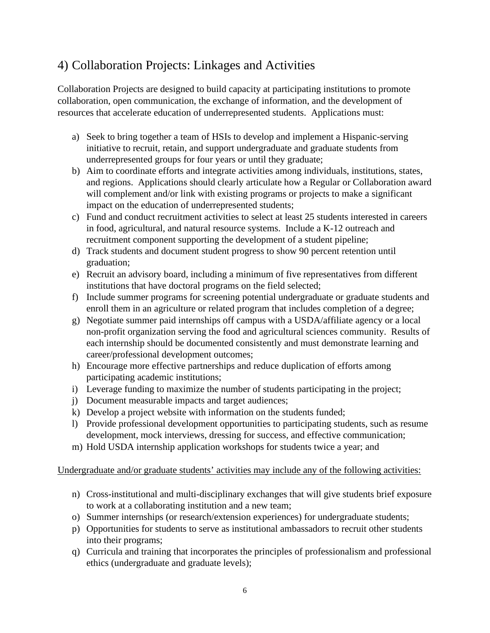## 4) Collaboration Projects: Linkages and Activities

Collaboration Projects are designed to build capacity at participating institutions to promote collaboration, open communication, the exchange of information, and the development of resources that accelerate education of underrepresented students. Applications must:

- a) Seek to bring together a team of HSIs to develop and implement a Hispanic-serving initiative to recruit, retain, and support undergraduate and graduate students from underrepresented groups for four years or until they graduate;
- b) Aim to coordinate efforts and integrate activities among individuals, institutions, states, and regions. Applications should clearly articulate how a Regular or Collaboration award will complement and/or link with existing programs or projects to make a significant impact on the education of underrepresented students;
- c) Fund and conduct recruitment activities to select at least 25 students interested in careers in food, agricultural, and natural resource systems.Include a K-12 outreach and recruitment component supporting the development of a student pipeline;
- d) Track students and document student progress to show 90 percent retention until graduation;
- e) Recruit an advisory board, including a minimum of five representatives from different institutions that have doctoral programs on the field selected;
- f) Include summer programs for screening potential undergraduate or graduate students and enroll them in an agriculture or related program that includes completion of a degree;
- g) Negotiate summer paid internships off campus with a USDA/affiliate agency or a local non-profit organization serving the food and agricultural sciences community. Results of each internship should be documented consistently and must demonstrate learning and career/professional development outcomes;
- h) Encourage more effective partnerships and reduce duplication of efforts among participating academic institutions;
- i) Leverage funding to maximize the number of students participating in the project;
- j) Document measurable impacts and target audiences;
- k) Develop a project website with information on the students funded;
- l) Provide professional development opportunities to participating students, such as resume development, mock interviews, dressing for success, and effective communication;
- m) Hold USDA internship application workshops for students twice a year; and

## Undergraduate and/or graduate students' activities may include any of the following activities:

- n) Cross-institutional and multi-disciplinary exchanges that will give students brief exposure to work at a collaborating institution and a new team;
- o) Summer internships (or research/extension experiences) for undergraduate students;
- p) Opportunities for students to serve as institutional ambassadors to recruit other students into their programs;
- q) Curricula and training that incorporates the principles of professionalism and professional ethics (undergraduate and graduate levels);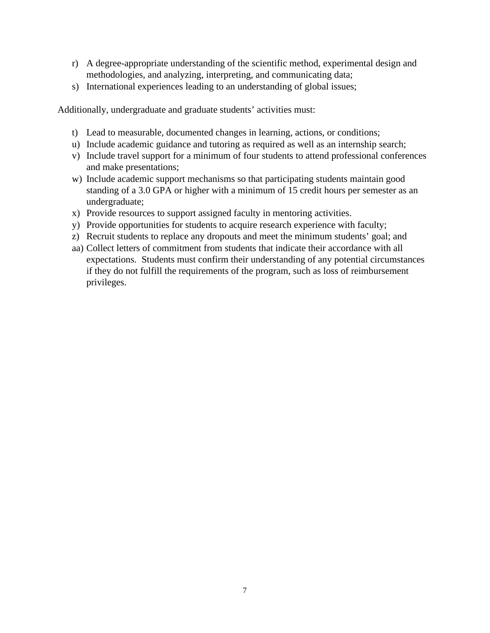- r) A degree-appropriate understanding of the scientific method, experimental design and methodologies, and analyzing, interpreting, and communicating data;
- s) International experiences leading to an understanding of global issues;

Additionally, undergraduate and graduate students' activities must:

- t) Lead to measurable, documented changes in learning, actions, or conditions;
- u) Include academic guidance and tutoring as required as well as an internship search;
- v) Include travel support for a minimum of four students to attend professional conferences and make presentations;
- w) Include academic support mechanisms so that participating students maintain good standing of a 3.0 GPA or higher with a minimum of 15 credit hours per semester as an undergraduate;
- x) Provide resources to support assigned faculty in mentoring activities.
- y) Provide opportunities for students to acquire research experience with faculty;
- z) Recruit students to replace any dropouts and meet the minimum students' goal; and
- aa) Collect letters of commitment from students that indicate their accordance with all expectations. Students must confirm their understanding of any potential circumstances if they do not fulfill the requirements of the program, such as loss of reimbursement privileges.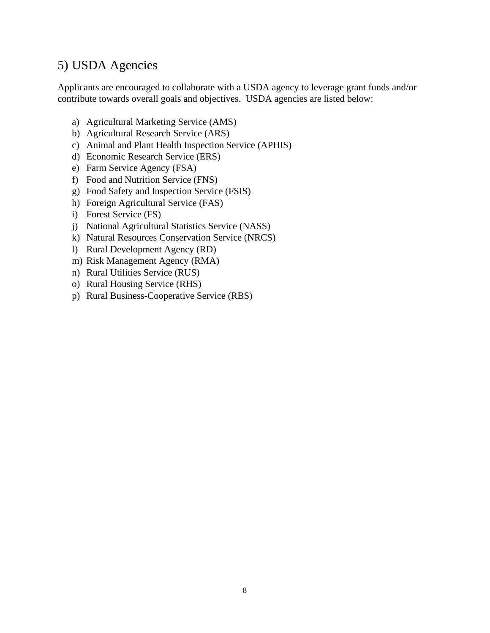## 5) USDA Agencies

Applicants are encouraged to collaborate with a USDA agency to leverage grant funds and/or contribute towards overall goals and objectives. USDA agencies are listed below:

- a) Agricultural Marketing Service (AMS)
- b) Agricultural Research Service (ARS)
- c) Animal and Plant Health Inspection Service (APHIS)
- d) Economic Research Service (ERS)
- e) Farm Service Agency (FSA)
- f) Food and Nutrition Service (FNS)
- g) Food Safety and Inspection Service (FSIS)
- h) Foreign Agricultural Service (FAS)
- i) Forest Service (FS)
- j) National Agricultural Statistics Service (NASS)
- k) Natural Resources Conservation Service (NRCS)
- l) Rural Development Agency (RD)
- m) Risk Management Agency (RMA)
- n) Rural Utilities Service (RUS)
- o) Rural Housing Service (RHS)
- p) Rural Business-Cooperative Service (RBS)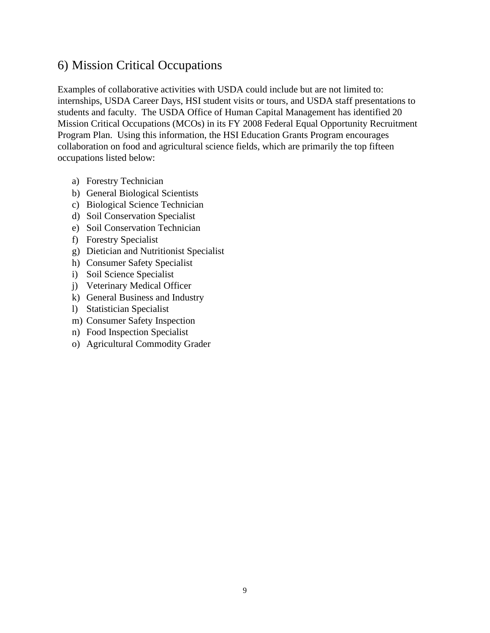## 6) Mission Critical Occupations

Examples of collaborative activities with USDA could include but are not limited to: internships, USDA Career Days, HSI student visits or tours, and USDA staff presentations to students and faculty. The USDA Office of Human Capital Management has identified 20 Mission Critical Occupations (MCOs) in its FY 2008 Federal Equal Opportunity Recruitment Program Plan. Using this information, the HSI Education Grants Program encourages collaboration on food and agricultural science fields, which are primarily the top fifteen occupations listed below:

- a) Forestry Technician
- b) General Biological Scientists
- c) Biological Science Technician
- d) Soil Conservation Specialist
- e) Soil Conservation Technician
- f) Forestry Specialist
- g) Dietician and Nutritionist Specialist
- h) Consumer Safety Specialist
- i) Soil Science Specialist
- j) Veterinary Medical Officer
- k) General Business and Industry
- l) Statistician Specialist
- m) Consumer Safety Inspection
- n) Food Inspection Specialist
- o) Agricultural Commodity Grader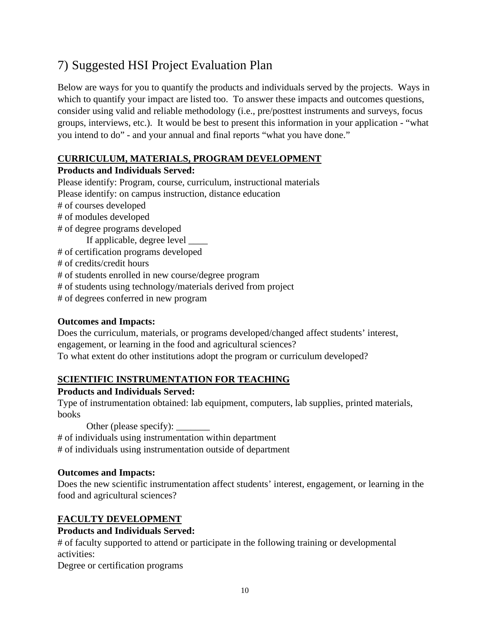## 7) Suggested HSI Project Evaluation Plan

Below are ways for you to quantify the products and individuals served by the projects. Ways in which to quantify your impact are listed too. To answer these impacts and outcomes questions, consider using valid and reliable methodology (i.e., pre/posttest instruments and surveys, focus groups, interviews, etc.). It would be best to present this information in your application - "what you intend to do" - and your annual and final reports "what you have done."

## **CURRICULUM, MATERIALS, PROGRAM DEVELOPMENT**

## **Products and Individuals Served:**

Please identify: Program, course, curriculum, instructional materials Please identify: on campus instruction, distance education # of courses developed # of modules developed # of degree programs developed If applicable, degree level \_\_\_\_ # of certification programs developed # of credits/credit hours # of students enrolled in new course/degree program # of students using technology/materials derived from project # of degrees conferred in new program

## **Outcomes and Impacts:**

Does the curriculum, materials, or programs developed/changed affect students' interest, engagement, or learning in the food and agricultural sciences? To what extent do other institutions adopt the program or curriculum developed?

## **SCIENTIFIC INSTRUMENTATION FOR TEACHING**

## **Products and Individuals Served:**

Type of instrumentation obtained: lab equipment, computers, lab supplies, printed materials, books

Other (please specify): \_\_\_\_\_\_\_ # of individuals using instrumentation within department # of individuals using instrumentation outside of department

## **Outcomes and Impacts:**

Does the new scientific instrumentation affect students' interest, engagement, or learning in the food and agricultural sciences?

## **FACULTY DEVELOPMENT**

## **Products and Individuals Served:**

# of faculty supported to attend or participate in the following training or developmental activities:

Degree or certification programs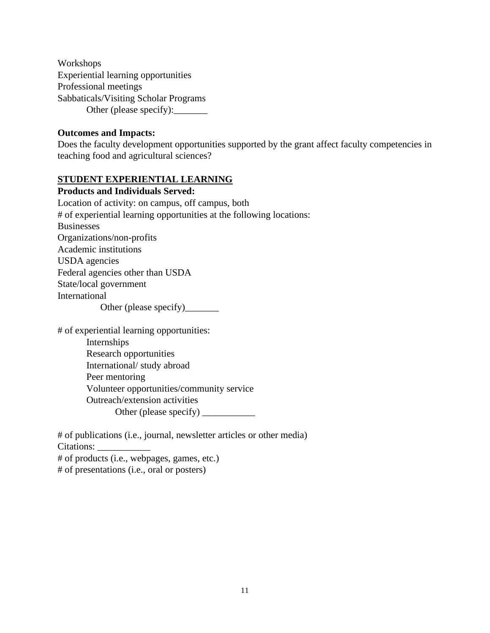Workshops Experiential learning opportunities Professional meetings Sabbaticals/Visiting Scholar Programs Other (please specify):

#### **Outcomes and Impacts:**

Does the faculty development opportunities supported by the grant affect faculty competencies in teaching food and agricultural sciences?

## **STUDENT EXPERIENTIAL LEARNING**

**Products and Individuals Served:** Location of activity: on campus, off campus, both # of experiential learning opportunities at the following locations: Businesses Organizations/non-profits Academic institutions USDA agencies Federal agencies other than USDA State/local government International Other (please specify)\_\_\_\_\_\_\_

# of experiential learning opportunities: Internships Research opportunities International/ study abroad Peer mentoring Volunteer opportunities/community service Outreach/extension activities Other (please specify) \_\_\_\_\_\_\_\_\_\_\_

# of publications (i.e., journal, newsletter articles or other media) Citations: # of products (i.e., webpages, games, etc.) # of presentations (i.e., oral or posters)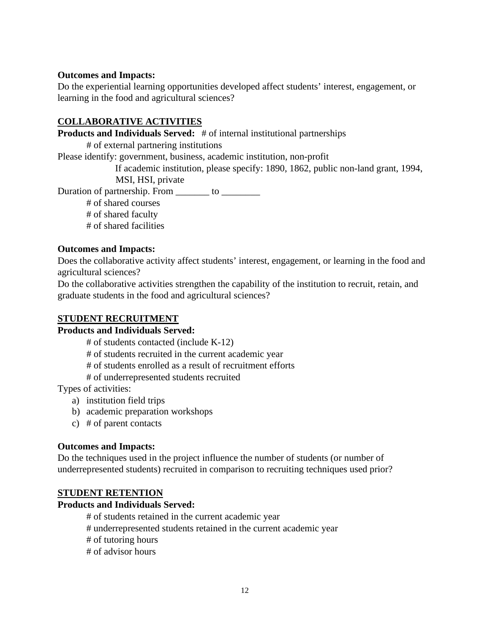## **Outcomes and Impacts:**

Do the experiential learning opportunities developed affect students' interest, engagement, or learning in the food and agricultural sciences?

## **COLLABORATIVE ACTIVITIES**

**Products and Individuals Served:** # of internal institutional partnerships

# of external partnering institutions

Please identify: government, business, academic institution, non-profit

If academic institution, please specify: 1890, 1862, public non-land grant, 1994,

MSI, HSI, private

Duration of partnership. From to <u>the same of</u>

# of shared courses # of shared faculty

# of shared facilities

## **Outcomes and Impacts:**

Does the collaborative activity affect students' interest, engagement, or learning in the food and agricultural sciences?

Do the collaborative activities strengthen the capability of the institution to recruit, retain, and graduate students in the food and agricultural sciences?

## **STUDENT RECRUITMENT**

## **Products and Individuals Served:**

# of students contacted (include K-12)

# of students recruited in the current academic year

# of students enrolled as a result of recruitment efforts

# of underrepresented students recruited

Types of activities:

- a) institution field trips
- b) academic preparation workshops
- c) # of parent contacts

## **Outcomes and Impacts:**

Do the techniques used in the project influence the number of students (or number of underrepresented students) recruited in comparison to recruiting techniques used prior?

## **STUDENT RETENTION**

## **Products and Individuals Served:**

- # of students retained in the current academic year
- # underrepresented students retained in the current academic year
- # of tutoring hours
- # of advisor hours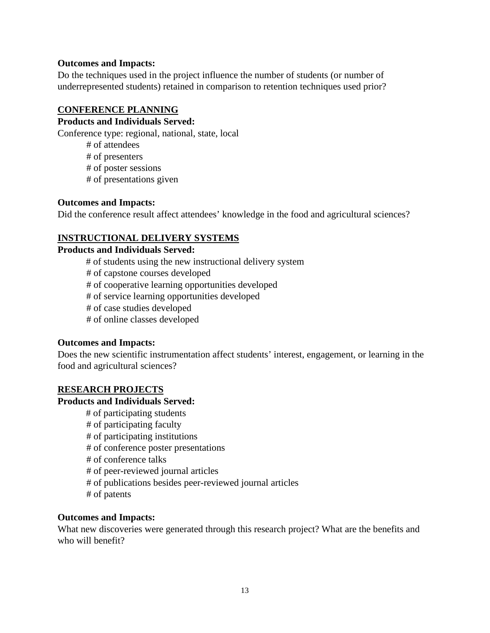#### **Outcomes and Impacts:**

Do the techniques used in the project influence the number of students (or number of underrepresented students) retained in comparison to retention techniques used prior?

#### **CONFERENCE PLANNING**

## **Products and Individuals Served:**

Conference type: regional, national, state, local

# of attendees

# of presenters

# of poster sessions

# of presentations given

#### **Outcomes and Impacts:**

Did the conference result affect attendees' knowledge in the food and agricultural sciences?

## **INSTRUCTIONAL DELIVERY SYSTEMS**

#### **Products and Individuals Served:**

# of students using the new instructional delivery system # of capstone courses developed # of cooperative learning opportunities developed # of service learning opportunities developed # of case studies developed

# of online classes developed

## **Outcomes and Impacts:**

Does the new scientific instrumentation affect students' interest, engagement, or learning in the food and agricultural sciences?

## **RESEARCH PROJECTS**

## **Products and Individuals Served:**

# of participating students # of participating faculty # of participating institutions # of conference poster presentations # of conference talks # of peer-reviewed journal articles # of publications besides peer-reviewed journal articles # of patents

#### **Outcomes and Impacts:**

What new discoveries were generated through this research project? What are the benefits and who will benefit?